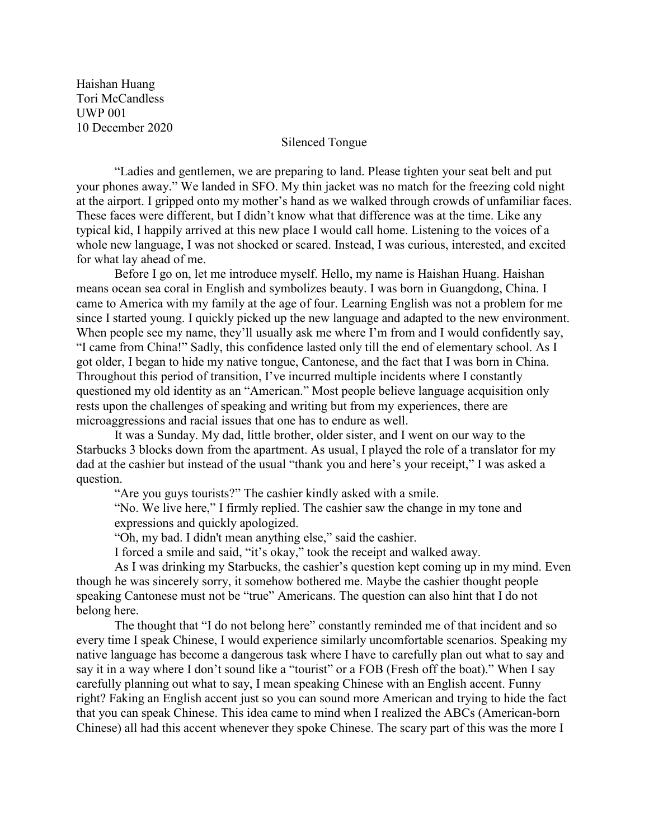Haishan Huang Tori McCandless UWP 001 10 December 2020

## Silenced Tongue

"Ladies and gentlemen, we are preparing to land. Please tighten your seat belt and put your phones away." We landed in SFO. My thin jacket was no match for the freezing cold night at the airport. I gripped onto my mother's hand as we walked through crowds of unfamiliar faces. These faces were different, but I didn't know what that difference was at the time. Like any typical kid, I happily arrived at this new place I would call home. Listening to the voices of a whole new language, I was not shocked or scared. Instead, I was curious, interested, and excited for what lay ahead of me.

Before I go on, let me introduce myself. Hello, my name is Haishan Huang. Haishan means ocean sea coral in English and symbolizes beauty. I was born in Guangdong, China. I came to America with my family at the age of four. Learning English was not a problem for me since I started young. I quickly picked up the new language and adapted to the new environment. When people see my name, they'll usually ask me where I'm from and I would confidently say, "I came from China!" Sadly, this confidence lasted only till the end of elementary school. As I got older, I began to hide my native tongue, Cantonese, and the fact that I was born in China. Throughout this period of transition, I've incurred multiple incidents where I constantly questioned my old identity as an "American." Most people believe language acquisition only rests upon the challenges of speaking and writing but from my experiences, there are microaggressions and racial issues that one has to endure as well.

It was a Sunday. My dad, little brother, older sister, and I went on our way to the Starbucks 3 blocks down from the apartment. As usual, I played the role of a translator for my dad at the cashier but instead of the usual "thank you and here's your receipt," I was asked a question.

"Are you guys tourists?" The cashier kindly asked with a smile.

"No. We live here," I firmly replied. The cashier saw the change in my tone and expressions and quickly apologized.

"Oh, my bad. I didn't mean anything else," said the cashier.

I forced a smile and said, "it's okay," took the receipt and walked away.

As I was drinking my Starbucks, the cashier's question kept coming up in my mind. Even though he was sincerely sorry, it somehow bothered me. Maybe the cashier thought people speaking Cantonese must not be "true" Americans. The question can also hint that I do not belong here.

The thought that "I do not belong here" constantly reminded me of that incident and so every time I speak Chinese, I would experience similarly uncomfortable scenarios. Speaking my native language has become a dangerous task where I have to carefully plan out what to say and say it in a way where I don't sound like a "tourist" or a FOB (Fresh off the boat)." When I say carefully planning out what to say, I mean speaking Chinese with an English accent. Funny right? Faking an English accent just so you can sound more American and trying to hide the fact that you can speak Chinese. This idea came to mind when I realized the ABCs (American-born Chinese) all had this accent whenever they spoke Chinese. The scary part of this was the more I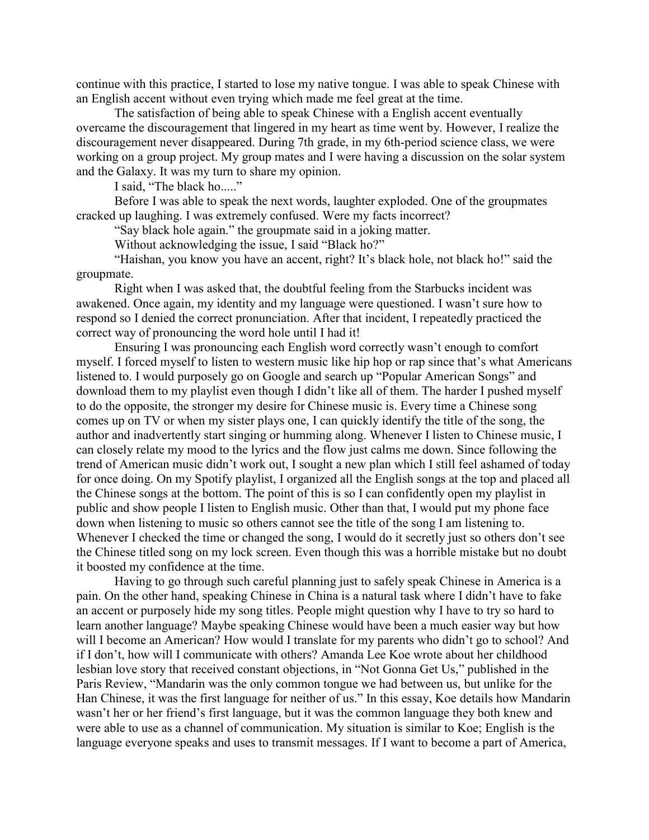continue with this practice, I started to lose my native tongue. I was able to speak Chinese with an English accent without even trying which made me feel great at the time.

The satisfaction of being able to speak Chinese with a English accent eventually overcame the discouragement that lingered in my heart as time went by. However, I realize the discouragement never disappeared. During 7th grade, in my 6th-period science class, we were working on a group project. My group mates and I were having a discussion on the solar system and the Galaxy. It was my turn to share my opinion.

I said, "The black ho....."

Before I was able to speak the next words, laughter exploded. One of the groupmates cracked up laughing. I was extremely confused. Were my facts incorrect?

"Say black hole again." the groupmate said in a joking matter.

Without acknowledging the issue, I said "Black ho?"

"Haishan, you know you have an accent, right? It's black hole, not black ho!" said the groupmate.

Right when I was asked that, the doubtful feeling from the Starbucks incident was awakened. Once again, my identity and my language were questioned. I wasn't sure how to respond so I denied the correct pronunciation. After that incident, I repeatedly practiced the correct way of pronouncing the word hole until I had it!

Ensuring I was pronouncing each English word correctly wasn't enough to comfort myself. I forced myself to listen to western music like hip hop or rap since that's what Americans listened to. I would purposely go on Google and search up "Popular American Songs" and download them to my playlist even though I didn't like all of them. The harder I pushed myself to do the opposite, the stronger my desire for Chinese music is. Every time a Chinese song comes up on TV or when my sister plays one, I can quickly identify the title of the song, the author and inadvertently start singing or humming along. Whenever I listen to Chinese music, I can closely relate my mood to the lyrics and the flow just calms me down. Since following the trend of American music didn't work out, I sought a new plan which I still feel ashamed of today for once doing. On my Spotify playlist, I organized all the English songs at the top and placed all the Chinese songs at the bottom. The point of this is so I can confidently open my playlist in public and show people I listen to English music. Other than that, I would put my phone face down when listening to music so others cannot see the title of the song I am listening to. Whenever I checked the time or changed the song, I would do it secretly just so others don't see the Chinese titled song on my lock screen. Even though this was a horrible mistake but no doubt it boosted my confidence at the time.

Having to go through such careful planning just to safely speak Chinese in America is a pain. On the other hand, speaking Chinese in China is a natural task where I didn't have to fake an accent or purposely hide my song titles. People might question why I have to try so hard to learn another language? Maybe speaking Chinese would have been a much easier way but how will I become an American? How would I translate for my parents who didn't go to school? And if I don't, how will I communicate with others? Amanda Lee Koe wrote about her childhood lesbian love story that received constant objections, in "Not Gonna Get Us," published in the Paris Review, "Mandarin was the only common tongue we had between us, but unlike for the Han Chinese, it was the first language for neither of us." In this essay, Koe details how Mandarin wasn't her or her friend's first language, but it was the common language they both knew and were able to use as a channel of communication. My situation is similar to Koe; English is the language everyone speaks and uses to transmit messages. If I want to become a part of America,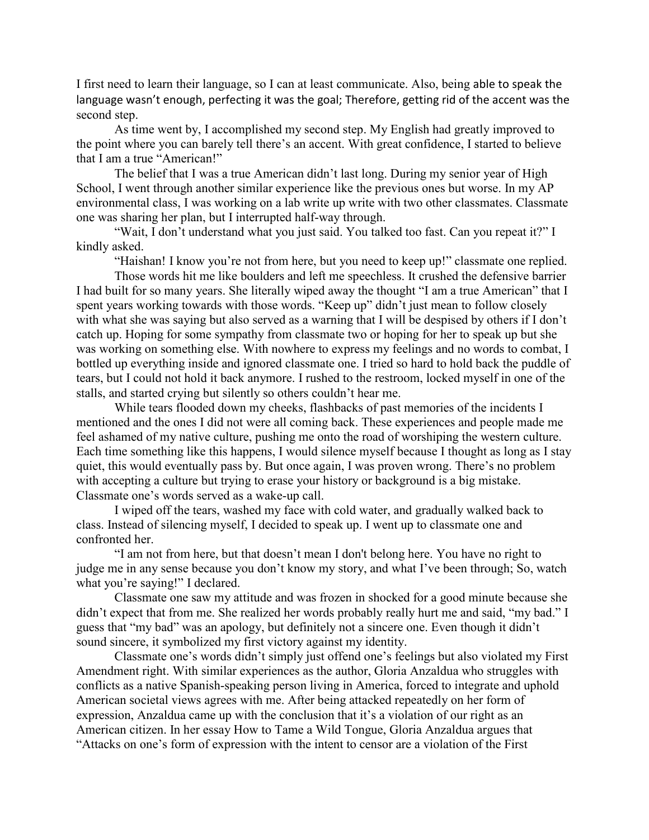I first need to learn their language, so I can at least communicate. Also, being able to speak the language wasn't enough, perfecting it was the goal; Therefore, getting rid of the accent was the second step.

As time went by, I accomplished my second step. My English had greatly improved to the point where you can barely tell there's an accent. With great confidence, I started to believe that I am a true "American!"

The belief that I was a true American didn't last long. During my senior year of High School, I went through another similar experience like the previous ones but worse. In my AP environmental class, I was working on a lab write up write with two other classmates. Classmate one was sharing her plan, but I interrupted half-way through.

"Wait, I don't understand what you just said. You talked too fast. Can you repeat it?" I kindly asked.

"Haishan! I know you're not from here, but you need to keep up!" classmate one replied.

Those words hit me like boulders and left me speechless. It crushed the defensive barrier I had built for so many years. She literally wiped away the thought "I am a true American" that I spent years working towards with those words. "Keep up" didn't just mean to follow closely with what she was saying but also served as a warning that I will be despised by others if I don't catch up. Hoping for some sympathy from classmate two or hoping for her to speak up but she was working on something else. With nowhere to express my feelings and no words to combat, I bottled up everything inside and ignored classmate one. I tried so hard to hold back the puddle of tears, but I could not hold it back anymore. I rushed to the restroom, locked myself in one of the stalls, and started crying but silently so others couldn't hear me.

While tears flooded down my cheeks, flashbacks of past memories of the incidents I mentioned and the ones I did not were all coming back. These experiences and people made me feel ashamed of my native culture, pushing me onto the road of worshiping the western culture. Each time something like this happens, I would silence myself because I thought as long as I stay quiet, this would eventually pass by. But once again, I was proven wrong. There's no problem with accepting a culture but trying to erase your history or background is a big mistake. Classmate one's words served as a wake-up call.

I wiped off the tears, washed my face with cold water, and gradually walked back to class. Instead of silencing myself, I decided to speak up. I went up to classmate one and confronted her.

"I am not from here, but that doesn't mean I don't belong here. You have no right to judge me in any sense because you don't know my story, and what I've been through; So, watch what you're saying!" I declared.

Classmate one saw my attitude and was frozen in shocked for a good minute because she didn't expect that from me. She realized her words probably really hurt me and said, "my bad." I guess that "my bad" was an apology, but definitely not a sincere one. Even though it didn't sound sincere, it symbolized my first victory against my identity.

Classmate one's words didn't simply just offend one's feelings but also violated my First Amendment right. With similar experiences as the author, Gloria Anzaldua who struggles with conflicts as a native Spanish-speaking person living in America, forced to integrate and uphold American societal views agrees with me. After being attacked repeatedly on her form of expression, Anzaldua came up with the conclusion that it's a violation of our right as an American citizen. In her essay How to Tame a Wild Tongue, Gloria Anzaldua argues that "Attacks on one's form of expression with the intent to censor are a violation of the First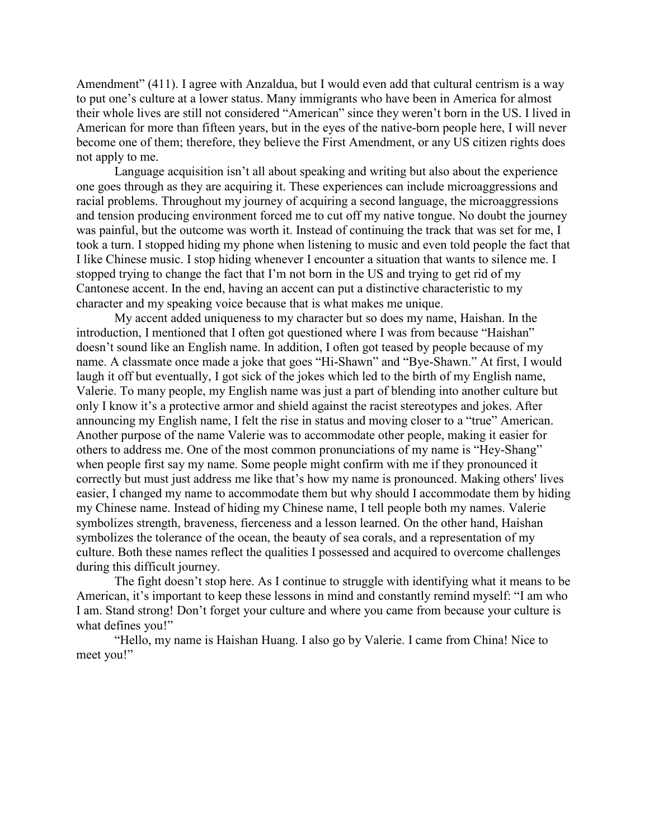Amendment" (411). I agree with Anzaldua, but I would even add that cultural centrism is a way to put one's culture at a lower status. Many immigrants who have been in America for almost their whole lives are still not considered "American" since they weren't born in the US. I lived in American for more than fifteen years, but in the eyes of the native-born people here, I will never become one of them; therefore, they believe the First Amendment, or any US citizen rights does not apply to me.

Language acquisition isn't all about speaking and writing but also about the experience one goes through as they are acquiring it. These experiences can include microaggressions and racial problems. Throughout my journey of acquiring a second language, the microaggressions and tension producing environment forced me to cut off my native tongue. No doubt the journey was painful, but the outcome was worth it. Instead of continuing the track that was set for me, I took a turn. I stopped hiding my phone when listening to music and even told people the fact that I like Chinese music. I stop hiding whenever I encounter a situation that wants to silence me. I stopped trying to change the fact that I'm not born in the US and trying to get rid of my Cantonese accent. In the end, having an accent can put a distinctive characteristic to my character and my speaking voice because that is what makes me unique.

My accent added uniqueness to my character but so does my name, Haishan. In the introduction, I mentioned that I often got questioned where I was from because "Haishan" doesn't sound like an English name. In addition, I often got teased by people because of my name. A classmate once made a joke that goes "Hi-Shawn" and "Bye-Shawn." At first, I would laugh it off but eventually, I got sick of the jokes which led to the birth of my English name, Valerie. To many people, my English name was just a part of blending into another culture but only I know it's a protective armor and shield against the racist stereotypes and jokes. After announcing my English name, I felt the rise in status and moving closer to a "true" American. Another purpose of the name Valerie was to accommodate other people, making it easier for others to address me. One of the most common pronunciations of my name is "Hey-Shang" when people first say my name. Some people might confirm with me if they pronounced it correctly but must just address me like that's how my name is pronounced. Making others' lives easier, I changed my name to accommodate them but why should I accommodate them by hiding my Chinese name. Instead of hiding my Chinese name, I tell people both my names. Valerie symbolizes strength, braveness, fierceness and a lesson learned. On the other hand, Haishan symbolizes the tolerance of the ocean, the beauty of sea corals, and a representation of my culture. Both these names reflect the qualities I possessed and acquired to overcome challenges during this difficult journey.

The fight doesn't stop here. As I continue to struggle with identifying what it means to be American, it's important to keep these lessons in mind and constantly remind myself: "I am who I am. Stand strong! Don't forget your culture and where you came from because your culture is what defines you!"

"Hello, my name is Haishan Huang. I also go by Valerie. I came from China! Nice to meet you!"